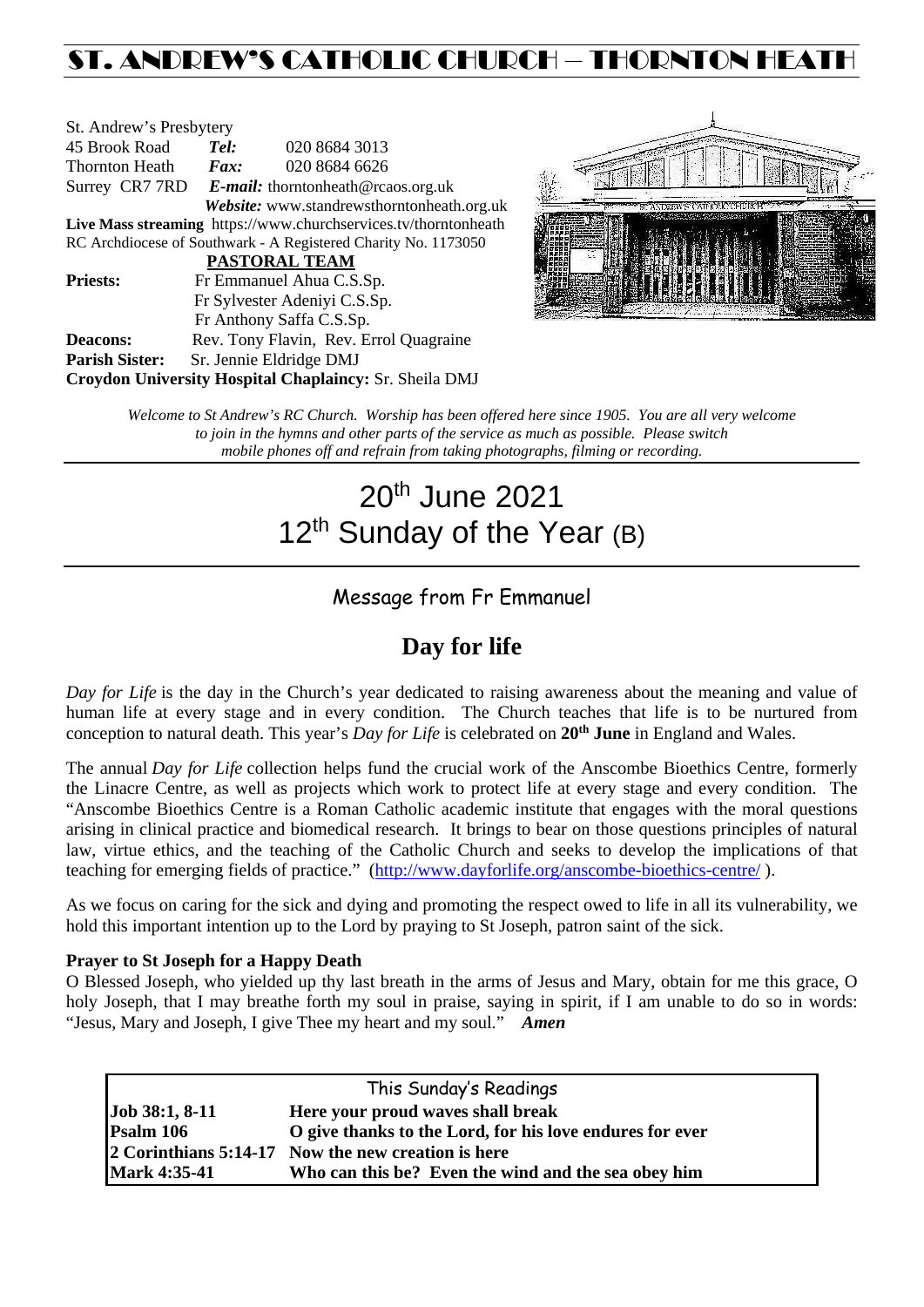## ST. ANDREW'S CATHOLIC CHURCH – THORNTON HEATH

| St. Andrew's Presbytery                                         |                                                   |                                            |  |  |  |
|-----------------------------------------------------------------|---------------------------------------------------|--------------------------------------------|--|--|--|
| 45 Brook Road                                                   | Tel:                                              | 020 8684 3013                              |  |  |  |
| Thornton Heath                                                  | $\boldsymbol{F}$ <i>ax</i> :                      | 020 8684 6626                              |  |  |  |
|                                                                 | Surrey CR7 7RD E-mail: thorntonheath@rcaos.org.uk |                                            |  |  |  |
|                                                                 |                                                   | Website: www.standrewsthorntonheath.org.uk |  |  |  |
| Live Mass streaming https://www.churchservices.tv/thorntonheath |                                                   |                                            |  |  |  |
| RC Archdiocese of Southwark - A Registered Charity No. 1173050  |                                                   |                                            |  |  |  |
| <b>PASTORAL TEAM</b>                                            |                                                   |                                            |  |  |  |
| <b>Priests:</b>                                                 | Fr Emmanuel Ahua C.S.Sp.                          |                                            |  |  |  |
|                                                                 | Fr Sylvester Adeniyi C.S.Sp.                      |                                            |  |  |  |
|                                                                 |                                                   | Fr Anthony Saffa C.S.Sp.                   |  |  |  |
| Deacons:                                                        |                                                   | Rev. Tony Flavin, Rev. Errol Quagraine     |  |  |  |
| <b>Parish Sister:</b>                                           | Sr. Jennie Eldridge DMJ                           |                                            |  |  |  |
| <b>Croydon University Hospital Chaplaincy: Sr. Sheila DMJ</b>   |                                                   |                                            |  |  |  |



*Welcome to St Andrew's RC Church. Worship has been offered here since 1905. You are all very welcome to join in the hymns and other parts of the service as much as possible. Please switch mobile phones off and refrain from taking photographs, filming or recording.*

# 20th June 2021 12<sup>th</sup> Sunday of the Year (B)

### Message from Fr Emmanuel

### **Day for life**

*Day for Life* is the day in the Church's year dedicated to raising awareness about the meaning and value of human life at every stage and in every condition. The Church teaches that life is to be nurtured from conception to natural death. This year's *Day for Life* is celebrated on **20th June** in England and Wales.

The annual *Day for Life* collection helps fund the crucial work of the Anscombe Bioethics Centre, formerly the Linacre Centre, as well as projects which work to protect life at every stage and every condition. The "Anscombe Bioethics Centre is a Roman Catholic academic institute that engages with the moral questions arising in clinical practice and biomedical research. It brings to bear on those questions principles of natural law, virtue ethics, and the teaching of the Catholic Church and seeks to develop the implications of that teaching for emerging fields of practice." [\(http://www.dayforlife.org/anscombe-bioethics-centre/](http://www.dayforlife.org/anscombe-bioethics-centre/)).

As we focus on caring for the sick and dying and promoting the respect owed to life in all its vulnerability, we hold this important intention up to the Lord by praying to St Joseph, patron saint of the sick.

#### **Prayer to St Joseph for a Happy Death**

O Blessed Joseph, who yielded up thy last breath in the arms of Jesus and Mary, obtain for me this grace, O holy Joseph, that I may breathe forth my soul in praise, saying in spirit, if I am unable to do so in words: "Jesus, Mary and Joseph, I give Thee my heart and my soul." *Amen*

| This Sunday's Readings |                                                          |  |  |  |
|------------------------|----------------------------------------------------------|--|--|--|
| Job 38:1, 8-11         | Here your proud waves shall break                        |  |  |  |
| Psalm 106              | O give thanks to the Lord, for his love endures for ever |  |  |  |
|                        | 2 Corinthians 5:14-17 Now the new creation is here       |  |  |  |
| <b>Mark 4:35-41</b>    | Who can this be? Even the wind and the sea obey him      |  |  |  |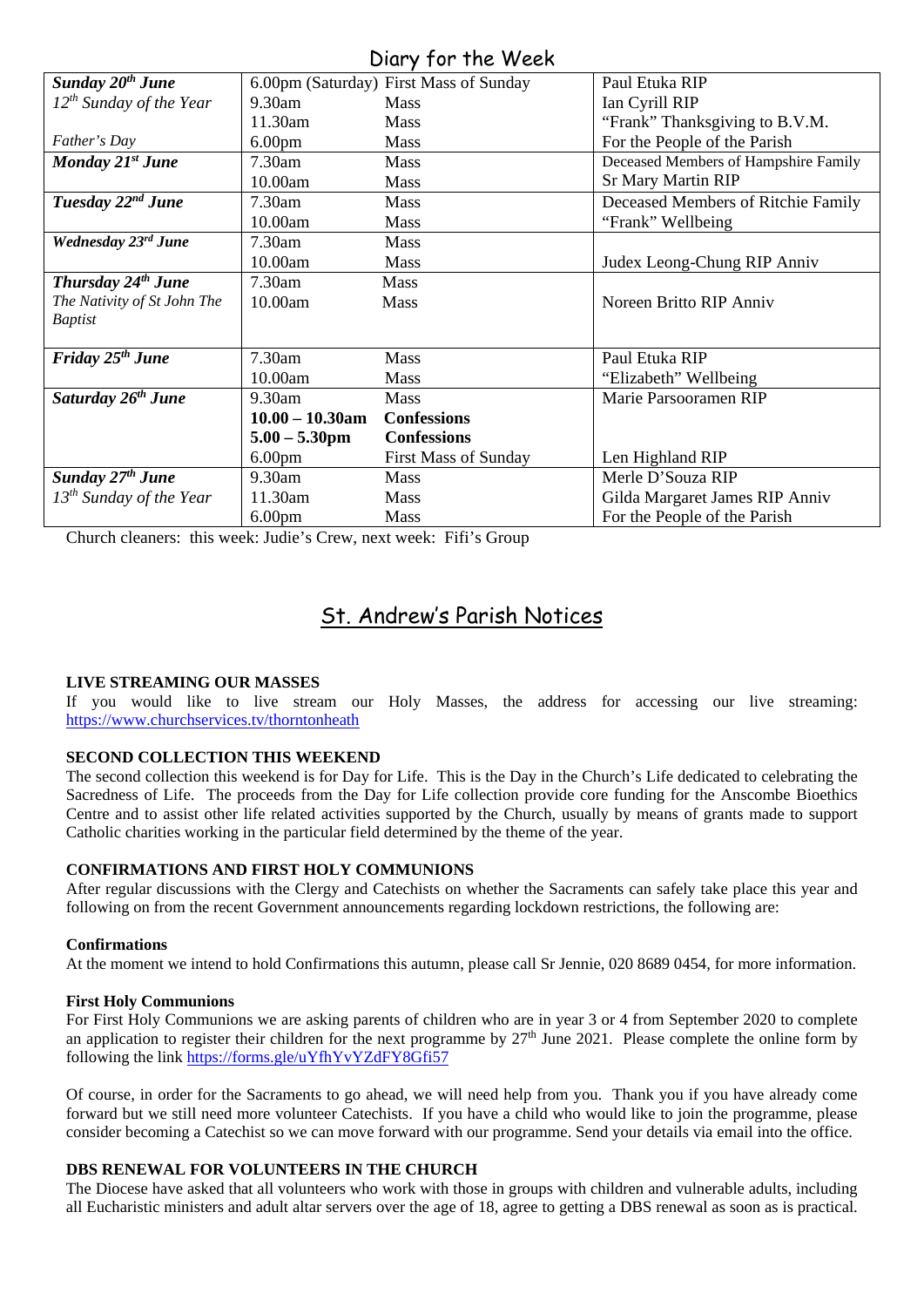### Diary for the Week

| $U(1, Y, 1)$ into the contract of $V$ |                    |                                        |                                      |  |  |
|---------------------------------------|--------------------|----------------------------------------|--------------------------------------|--|--|
| Sunday 20 <sup>th</sup> June          |                    | 6.00pm (Saturday) First Mass of Sunday | Paul Etuka RIP                       |  |  |
| $12^{th}$ Sunday of the Year          | $9.30$ am          | <b>Mass</b>                            | Ian Cyrill RIP                       |  |  |
|                                       | 11.30am            | <b>Mass</b>                            | "Frank" Thanksgiving to B.V.M.       |  |  |
| Father's Day                          | 6.00 <sub>pm</sub> | <b>Mass</b>                            | For the People of the Parish         |  |  |
| Monday 21st June                      | 7.30am             | <b>Mass</b>                            | Deceased Members of Hampshire Family |  |  |
|                                       | 10.00am            | <b>Mass</b>                            | <b>Sr Mary Martin RIP</b>            |  |  |
| Tuesday 22 <sup>nd</sup> June         | 7.30am             | <b>Mass</b>                            | Deceased Members of Ritchie Family   |  |  |
|                                       | 10.00am            | Mass                                   | "Frank" Wellbeing                    |  |  |
| Wednesday 23rd June                   | 7.30am             | <b>Mass</b>                            |                                      |  |  |
|                                       | 10.00am            | <b>Mass</b>                            | Judex Leong-Chung RIP Anniv          |  |  |
| <b>Thursday 24th June</b>             | 7.30am             | Mass                                   |                                      |  |  |
| The Nativity of St John The           | 10.00am            | <b>Mass</b>                            | Noreen Britto RIP Anniv              |  |  |
| <b>Baptist</b>                        |                    |                                        |                                      |  |  |
|                                       |                    |                                        |                                      |  |  |
| Friday $25th$ June                    | 7.30am             | <b>Mass</b>                            | Paul Etuka RIP                       |  |  |
|                                       | 10.00am            | <b>Mass</b>                            | "Elizabeth" Wellbeing                |  |  |
| Saturday 26 <sup>th</sup> June        | 9.30am             | <b>Mass</b>                            | Marie Parsooramen RIP                |  |  |
|                                       | $10.00 - 10.30$ am | <b>Confessions</b>                     |                                      |  |  |
|                                       | $5.00 - 5.30$ pm   | <b>Confessions</b>                     |                                      |  |  |
|                                       | 6.00 <sub>pm</sub> | <b>First Mass of Sunday</b>            | Len Highland RIP                     |  |  |
| Sunday 27 <sup>th</sup> June          | 9.30am             | Mass                                   | Merle D'Souza RIP                    |  |  |
| $13^{th}$ Sunday of the Year          | 11.30am            | <b>Mass</b>                            | Gilda Margaret James RIP Anniv       |  |  |
|                                       | 6.00 <sub>pm</sub> | <b>Mass</b>                            | For the People of the Parish         |  |  |

Church cleaners: this week: Judie's Crew, next week: Fifi's Group

### St. Andrew's Parish Notices

#### **LIVE STREAMING OUR MASSES**

If you would like to live stream our Holy Masses, the address for accessing our live streaming: <https://www.churchservices.tv/thorntonheath>

#### **SECOND COLLECTION THIS WEEKEND**

The second collection this weekend is for Day for Life. This is the Day in the Church's Life dedicated to celebrating the Sacredness of Life. The proceeds from the Day for Life collection provide core funding for the Anscombe Bioethics Centre and to assist other life related activities supported by the Church, usually by means of grants made to support Catholic charities working in the particular field determined by the theme of the year.

#### **CONFIRMATIONS AND FIRST HOLY COMMUNIONS**

After regular discussions with the Clergy and Catechists on whether the Sacraments can safely take place this year and following on from the recent Government announcements regarding lockdown restrictions, the following are:

#### **Confirmations**

At the moment we intend to hold Confirmations this autumn, please call Sr Jennie, 020 8689 0454, for more information.

#### **First Holy Communions**

For First Holy Communions we are asking parents of children who are in year 3 or 4 from September 2020 to complete an application to register their children for the next programme by  $27<sup>th</sup>$  June 2021. Please complete the online form by following the link<https://forms.gle/uYfhYvYZdFY8Gfi57>

Of course, in order for the Sacraments to go ahead, we will need help from you. Thank you if you have already come forward but we still need more volunteer Catechists. If you have a child who would like to join the programme, please consider becoming a Catechist so we can move forward with our programme. Send your details via email into the office.

#### **DBS RENEWAL FOR VOLUNTEERS IN THE CHURCH**

The Diocese have asked that all volunteers who work with those in groups with children and vulnerable adults, including all Eucharistic ministers and adult altar servers over the age of 18, agree to getting a DBS renewal as soon as is practical.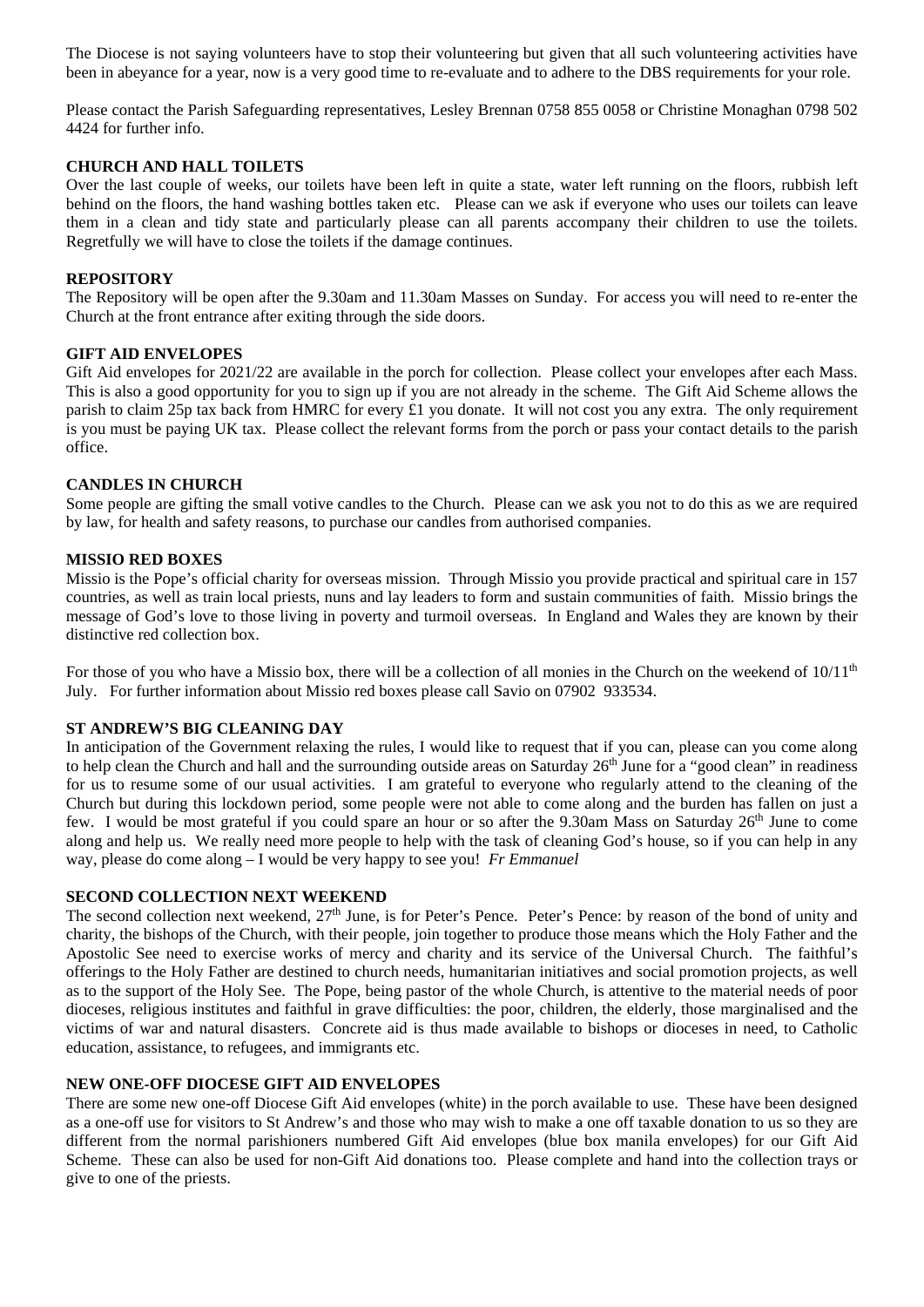The Diocese is not saying volunteers have to stop their volunteering but given that all such volunteering activities have been in abeyance for a year, now is a very good time to re-evaluate and to adhere to the DBS requirements for your role.

Please contact the Parish Safeguarding representatives, Lesley Brennan 0758 855 0058 or Christine Monaghan 0798 502 4424 for further info.

#### **CHURCH AND HALL TOILETS**

Over the last couple of weeks, our toilets have been left in quite a state, water left running on the floors, rubbish left behind on the floors, the hand washing bottles taken etc. Please can we ask if everyone who uses our toilets can leave them in a clean and tidy state and particularly please can all parents accompany their children to use the toilets. Regretfully we will have to close the toilets if the damage continues.

#### **REPOSITORY**

The Repository will be open after the 9.30am and 11.30am Masses on Sunday. For access you will need to re-enter the Church at the front entrance after exiting through the side doors.

#### **GIFT AID ENVELOPES**

Gift Aid envelopes for 2021/22 are available in the porch for collection. Please collect your envelopes after each Mass. This is also a good opportunity for you to sign up if you are not already in the scheme. The Gift Aid Scheme allows the parish to claim 25p tax back from HMRC for every £1 you donate. It will not cost you any extra. The only requirement is you must be paying UK tax. Please collect the relevant forms from the porch or pass your contact details to the parish office.

#### **CANDLES IN CHURCH**

Some people are gifting the small votive candles to the Church. Please can we ask you not to do this as we are required by law, for health and safety reasons, to purchase our candles from authorised companies.

#### **MISSIO RED BOXES**

Missio is the Pope's official charity for overseas mission. Through Missio you provide practical and spiritual care in 157 countries, as well as train local priests, nuns and lay leaders to form and sustain communities of faith. Missio brings the message of God's love to those living in poverty and turmoil overseas. In England and Wales they are known by their distinctive red collection box.

For those of you who have a Missio box, there will be a collection of all monies in the Church on the weekend of  $10/11<sup>th</sup>$ July. For further information about Missio red boxes please call Savio on 07902 933534.

#### **ST ANDREW'S BIG CLEANING DAY**

In anticipation of the Government relaxing the rules, I would like to request that if you can, please can you come along to help clean the Church and hall and the surrounding outside areas on Saturday  $26<sup>th</sup>$  June for a "good clean" in readiness for us to resume some of our usual activities. I am grateful to everyone who regularly attend to the cleaning of the Church but during this lockdown period, some people were not able to come along and the burden has fallen on just a few. I would be most grateful if you could spare an hour or so after the 9.30am Mass on Saturday 26<sup>th</sup> June to come along and help us. We really need more people to help with the task of cleaning God's house, so if you can help in any way, please do come along – I would be very happy to see you! *Fr Emmanuel*

#### **SECOND COLLECTION NEXT WEEKEND**

The second collection next weekend,  $27<sup>th</sup>$  June, is for Peter's Pence. Peter's Pence: by reason of the bond of unity and charity, the bishops of the Church, with their people, join together to produce those means which the Holy Father and the Apostolic See need to exercise works of mercy and charity and its service of the Universal Church. The faithful's offerings to the Holy Father are destined to church needs, humanitarian initiatives and social promotion projects, as well as to the support of the Holy See. The Pope, being pastor of the whole Church, is attentive to the material needs of poor dioceses, religious institutes and faithful in grave difficulties: the poor, children, the elderly, those marginalised and the victims of war and natural disasters. Concrete aid is thus made available to bishops or dioceses in need, to Catholic education, assistance, to refugees, and immigrants etc.

#### **NEW ONE-OFF DIOCESE GIFT AID ENVELOPES**

There are some new one-off Diocese Gift Aid envelopes (white) in the porch available to use. These have been designed as a one-off use for visitors to St Andrew's and those who may wish to make a one off taxable donation to us so they are different from the normal parishioners numbered Gift Aid envelopes (blue box manila envelopes) for our Gift Aid Scheme. These can also be used for non-Gift Aid donations too. Please complete and hand into the collection trays or give to one of the priests.